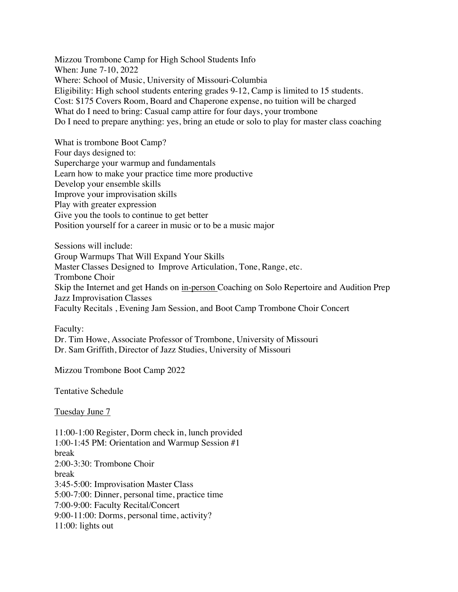Mizzou Trombone Camp for High School Students Info When: June 7-10, 2022 Where: School of Music, University of Missouri-Columbia Eligibility: High school students entering grades 9-12, Camp is limited to 15 students. Cost: \$175 Covers Room, Board and Chaperone expense, no tuition will be charged What do I need to bring: Casual camp attire for four days, your trombone Do I need to prepare anything: yes, bring an etude or solo to play for master class coaching

What is trombone Boot Camp? Four days designed to: Supercharge your warmup and fundamentals Learn how to make your practice time more productive Develop your ensemble skills Improve your improvisation skills Play with greater expression Give you the tools to continue to get better Position yourself for a career in music or to be a music major

Sessions will include: Group Warmups That Will Expand Your Skills Master Classes Designed to Improve Articulation, Tone, Range, etc. Trombone Choir Skip the Internet and get Hands on in-person Coaching on Solo Repertoire and Audition Prep Jazz Improvisation Classes Faculty Recitals , Evening Jam Session, and Boot Camp Trombone Choir Concert

Faculty:

Dr. Tim Howe, Associate Professor of Trombone, University of Missouri Dr. Sam Griffith, Director of Jazz Studies, University of Missouri

Mizzou Trombone Boot Camp 2022

Tentative Schedule

Tuesday June 7

11:00-1:00 Register, Dorm check in, lunch provided 1:00-1:45 PM: Orientation and Warmup Session #1 break 2:00-3:30: Trombone Choir break 3:45-5:00: Improvisation Master Class 5:00-7:00: Dinner, personal time, practice time 7:00-9:00: Faculty Recital/Concert 9:00-11:00: Dorms, personal time, activity? 11:00: lights out